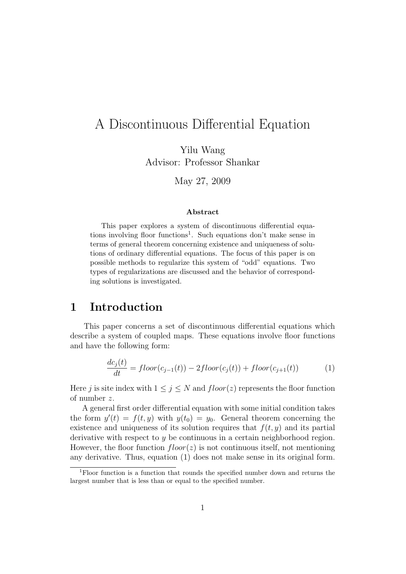# A Discontinuous Differential Equation

Yilu Wang Advisor: Professor Shankar

May 27, 2009

#### Abstract

This paper explores a system of discontinuous differential equations involving floor functions<sup>1</sup>. Such equations don't make sense in terms of general theorem concerning existence and uniqueness of solutions of ordinary differential equations. The focus of this paper is on possible methods to regularize this system of "odd" equations. Two types of regularizations are discussed and the behavior of corresponding solutions is investigated.

### 1 Introduction

This paper concerns a set of discontinuous differential equations which describe a system of coupled maps. These equations involve floor functions and have the following form:

$$
\frac{dc_j(t)}{dt} = floor(c_{j-1}(t)) - 2floor(c_j(t)) + floor(c_{j+1}(t))
$$
\n(1)

Here j is site index with  $1 \leq j \leq N$  and  $floor(z)$  represents the floor function of number z.

A general first order differential equation with some initial condition takes the form  $y'(t) = f(t, y)$  with  $y(t_0) = y_0$ . General theorem concerning the existence and uniqueness of its solution requires that  $f(t, y)$  and its partial derivative with respect to  $\eta$  be continuous in a certain neighborhood region. However, the floor function  $floor(z)$  is not continuous itself, not mentioning any derivative. Thus, equation (1) does not make sense in its original form.

<sup>1</sup>Floor function is a function that rounds the specified number down and returns the largest number that is less than or equal to the specified number.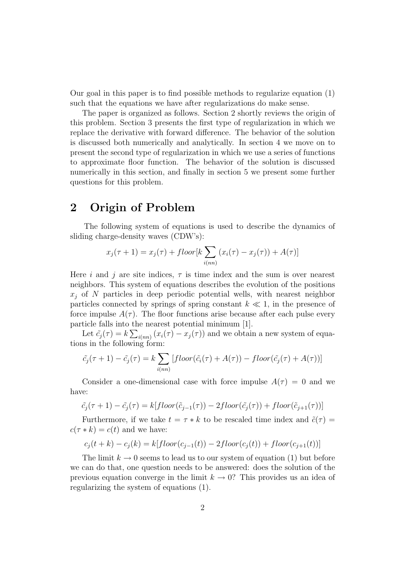Our goal in this paper is to find possible methods to regularize equation (1) such that the equations we have after regularizations do make sense.

The paper is organized as follows. Section 2 shortly reviews the origin of this problem. Section 3 presents the first type of regularization in which we replace the derivative with forward difference. The behavior of the solution is discussed both numerically and analytically. In section 4 we move on to present the second type of regularization in which we use a series of functions to approximate floor function. The behavior of the solution is discussed numerically in this section, and finally in section 5 we present some further questions for this problem.

# 2 Origin of Problem

The following system of equations is used to describe the dynamics of sliding charge-density waves (CDW's):

$$
x_j(\tau + 1) = x_j(\tau) + floor[k \sum_{i(nn)} (x_i(\tau) - x_j(\tau)) + A(\tau)]
$$

Here i and j are site indices,  $\tau$  is time index and the sum is over nearest neighbors. This system of equations describes the evolution of the positions  $x_i$  of N particles in deep periodic potential wells, with nearest neighbor particles connected by springs of spring constant  $k \ll 1$ , in the presence of force impulse  $A(\tau)$ . The floor functions arise because after each pulse every particle falls into the nearest potential minimum [1].

Let  $\tilde{c}_j(\tau) = k \sum_{i(nn)} (x_i(\tau) - x_j(\tau))$  and we obtain a new system of equations in the following form:

$$
\tilde{c}_j(\tau+1) - \tilde{c}_j(\tau) = k \sum_{i(nn)} [floor(\tilde{c}_i(\tau) + A(\tau)) - floor(\tilde{c}_j(\tau) + A(\tau))]
$$

Consider a one-dimensional case with force impulse  $A(\tau) = 0$  and we have:

$$
\tilde{c}_j(\tau+1) - \tilde{c}_j(\tau) = k[floor(\tilde{c}_{j-1}(\tau)) - 2floor(\tilde{c}_j(\tau)) + floor(\tilde{c}_{j+1}(\tau))]
$$

Furthermore, if we take  $t = \tau * k$  to be rescaled time index and  $\tilde{c}(\tau)$  =  $c(\tau * k) = c(t)$  and we have:

$$
c_j(t + k) - c_j(k) = k[floor(c_{j-1}(t)) - 2floor(c_j(t)) + floor(c_{j+1}(t))]
$$

The limit  $k \to 0$  seems to lead us to our system of equation (1) but before we can do that, one question needs to be answered: does the solution of the previous equation converge in the limit  $k \to 0$ ? This provides us an idea of regularizing the system of equations (1).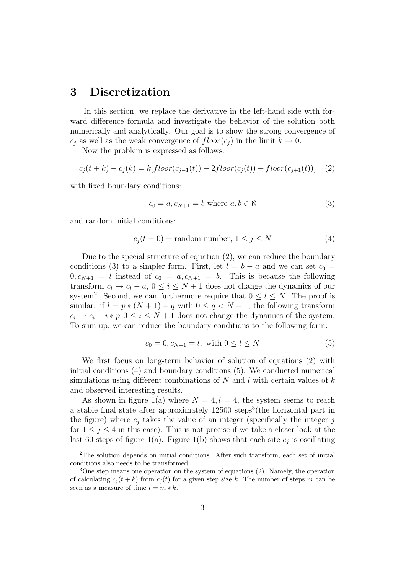### 3 Discretization

In this section, we replace the derivative in the left-hand side with forward difference formula and investigate the behavior of the solution both numerically and analytically. Our goal is to show the strong convergence of  $c_j$  as well as the weak convergence of  $floor(c_j)$  in the limit  $k \to 0$ .

Now the problem is expressed as follows:

$$
c_j(t+k) - c_j(k) = k[floor(c_{j-1}(t)) - 2floor(c_j(t)) + floor(c_{j+1}(t))]
$$
 (2)

with fixed boundary conditions:

$$
c_0 = a, c_{N+1} = b \text{ where } a, b \in \aleph \tag{3}
$$

and random initial conditions:

$$
c_j(t=0) = \text{random number}, \ 1 \le j \le N \tag{4}
$$

Due to the special structure of equation (2), we can reduce the boundary conditions (3) to a simpler form. First, let  $l = b - a$  and we can set  $c_0 =$  $0, c_{N+1} = l$  instead of  $c_0 = a, c_{N+1} = b$ . This is because the following transform  $c_i \rightarrow c_i - a$ ,  $0 \le i \le N + 1$  does not change the dynamics of our system<sup>2</sup>. Second, we can furthermore require that  $0 \leq l \leq N$ . The proof is similar: if  $l = p * (N + 1) + q$  with  $0 \le q < N + 1$ , the following transform  $c_i \rightarrow c_i - i * p, 0 \leq i \leq N+1$  does not change the dynamics of the system. To sum up, we can reduce the boundary conditions to the following form:

$$
c_0 = 0, c_{N+1} = l, \text{ with } 0 \le l \le N \tag{5}
$$

We first focus on long-term behavior of solution of equations (2) with initial conditions (4) and boundary conditions (5). We conducted numerical simulations using different combinations of N and l with certain values of  $k$ and observed interesting results.

As shown in figure 1(a) where  $N = 4, l = 4$ , the system seems to reach a stable final state after approximately 12500 steps<sup>3</sup>(the horizontal part in the figure) where  $c_i$  takes the value of an integer (specifically the integer j for  $1 \leq j \leq 4$  in this case). This is not precise if we take a closer look at the last 60 steps of figure 1(a). Figure 1(b) shows that each site  $c_j$  is oscillating

<sup>2</sup>The solution depends on initial conditions. After such transform, each set of initial conditions also needs to be transformed.

<sup>3</sup>One step means one operation on the system of equations (2). Namely, the operation of calculating  $c_i(t + k)$  from  $c_i(t)$  for a given step size k. The number of steps m can be seen as a measure of time  $t = m * k$ .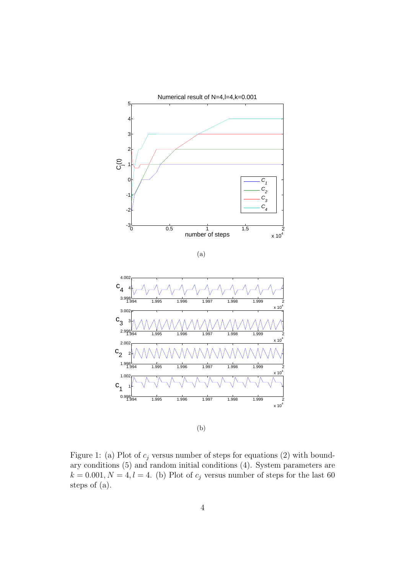

Figure 1: (a) Plot of  $c_j$  versus number of steps for equations (2) with boundary conditions (5) and random initial conditions (4). System parameters are  $k = 0.001, N = 4, l = 4.$  (b) Plot of  $c_j$  versus number of steps for the last 60 steps of (a).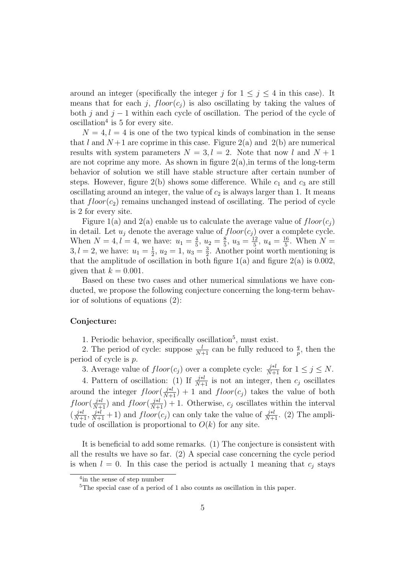around an integer (specifically the integer j for  $1 \leq j \leq 4$  in this case). It means that for each j,  $floor(c_i)$  is also oscillating by taking the values of both j and  $j - 1$  within each cycle of oscillation. The period of the cycle of oscillation<sup>4</sup> is 5 for every site.

 $N = 4, l = 4$  is one of the two typical kinds of combination in the sense that l and  $N+1$  are coprime in this case. Figure 2(a) and 2(b) are numerical results with system parameters  $N = 3, l = 2$ . Note that now l and  $N + 1$ are not coprime any more. As shown in figure  $2(a)$ , in terms of the long-term behavior of solution we still have stable structure after certain number of steps. However, figure 2(b) shows some difference. While  $c_1$  and  $c_3$  are still oscillating around an integer, the value of  $c_2$  is always larger than 1. It means that  $floor(c_2)$  remains unchanged instead of oscillating. The period of cycle is 2 for every site.

Figure 1(a) and 2(a) enable us to calculate the average value of  $floor(c_i)$ in detail. Let  $u_j$  denote the average value of  $floor(c_j)$  over a complete cycle. When  $N = 4, l = 4$ , we have:  $u_1 = \frac{4}{5}$  $\frac{4}{5}$ ,  $u_2 = \frac{8}{5}$  $\frac{8}{5}$ ,  $u_3 = \frac{12}{5}$  $\frac{12}{5}$ ,  $u_4 = \frac{16}{5}$  $\frac{16}{5}$ . When  $N =$  $3, l = 2$ , we have:  $u_1 = \frac{1}{2}$  $\frac{1}{2}$ ,  $u_2 = 1$ ,  $u_3 = \frac{3}{2}$  $\frac{3}{2}$ . Another point worth mentioning is that the amplitude of oscillation in both figure  $1(a)$  and figure  $2(a)$  is 0.002, given that  $k = 0.001$ .

Based on these two cases and other numerical simulations we have conducted, we propose the following conjecture concerning the long-term behavior of solutions of equations (2):

#### Conjecture:

1. Periodic behavior, specifically oscillation<sup>5</sup>, must exist.

2. The period of cycle: suppose  $\frac{l}{N+1}$  can be fully reduced to  $\frac{q}{p}$ , then the period of cycle is p.

3. Average value of  $floor(c_j)$  over a complete cycle:  $\frac{j * l}{N+1}$  for  $1 \le j \le N$ .

4. Pattern of oscillation: (1) If  $\frac{j+l}{N+1}$  is not an integer, then  $c_j$  oscillates around the integer  $floor(\frac{j*l}{N+1}) + 1$  and  $floor(c_j)$  takes the value of both  $floor(\frac{j*l}{N+1})$  and  $floor(\frac{j*l}{N+1}) + 1$ . Otherwise,  $c_j$  oscillates within the interval  $\left(\frac{j+l}{N+1}, \frac{j+l}{N+1}+1\right)$  and  $floor(c_j)$  can only take the value of  $\frac{j+l}{N+1}$ . (2) The amplitude of oscillation is proportional to  $O(k)$  for any site.

It is beneficial to add some remarks. (1) The conjecture is consistent with all the results we have so far. (2) A special case concerning the cycle period is when  $l = 0$ . In this case the period is actually 1 meaning that  $c_i$  stays

<sup>4</sup> in the sense of step number

<sup>5</sup>The special case of a period of 1 also counts as oscillation in this paper.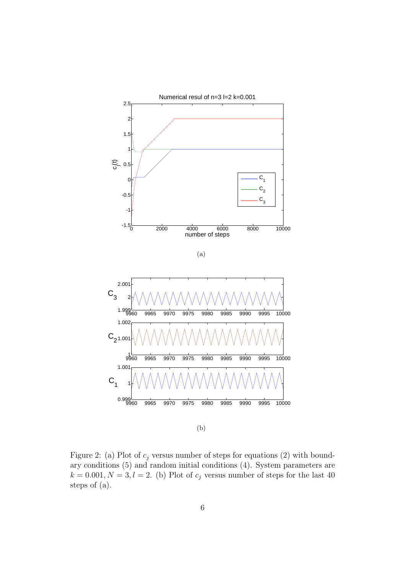

Figure 2: (a) Plot of  $c_j$  versus number of steps for equations (2) with boundary conditions (5) and random initial conditions (4). System parameters are  $k = 0.001, N = 3, l = 2.$  (b) Plot of  $c_j$  versus number of steps for the last 40 steps of (a).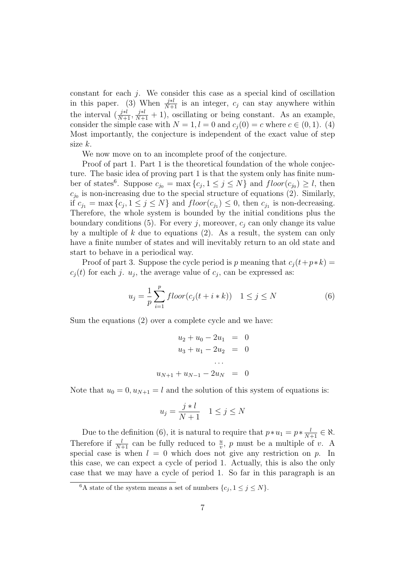constant for each j. We consider this case as a special kind of oscillation in this paper. (3) When  $\frac{j*l}{N+1}$  is an integer,  $c_j$  can stay anywhere within the interval  $\left(\frac{j+l}{N+1}, \frac{j+l}{N+1}+1\right)$ , oscillating or being constant. As an example, consider the simple case with  $N = 1, l = 0$  and  $c_j(0) = c$  where  $c \in (0, 1)$ . (4) Most importantly, the conjecture is independent of the exact value of step size k.

We now move on to an incomplete proof of the conjecture.

Proof of part 1. Part 1 is the theoretical foundation of the whole conjecture. The basic idea of proving part 1 is that the system only has finite number of states<sup>6</sup>. Suppose  $c_{j_0} = \max\{c_j, 1 \leq j \leq N\}$  and  $floor(c_{j_0}) \geq l$ , then  $c_{j_0}$  is non-increasing due to the special structure of equations (2). Similarly, if  $c_{j_1} = \max\{c_j, 1 \leq j \leq N\}$  and  $floor(c_{j_1}) \leq 0$ , then  $c_{j_1}$  is non-decreasing. Therefore, the whole system is bounded by the initial conditions plus the boundary conditions (5). For every j, moreover,  $c_i$  can only change its value by a multiple of  $k$  due to equations (2). As a result, the system can only have a finite number of states and will inevitably return to an old state and start to behave in a periodical way.

Proof of part 3. Suppose the cycle period is p meaning that  $c_i(t+p*k)$  $c_j(t)$  for each j.  $u_j$ , the average value of  $c_j$ , can be expressed as:

$$
u_j = \frac{1}{p} \sum_{i=1}^p floor(c_j(t + i * k)) \quad 1 \le j \le N
$$
 (6)

Sum the equations (2) over a complete cycle and we have:

$$
u_2 + u_0 - 2u_1 = 0
$$
  

$$
u_3 + u_1 - 2u_2 = 0
$$
  
...  

$$
u_{N+1} + u_{N-1} - 2u_N = 0
$$

Note that  $u_0 = 0, u_{N+1} = l$  and the solution of this system of equations is:

$$
u_j = \frac{j * l}{N+1} \quad 1 \le j \le N
$$

Due to the definition (6), it is natural to require that  $p * u_1 = p * \frac{l}{N+1} \in \mathbb{N}$ . Therefore if  $\frac{l}{N+1}$  can be fully reduced to  $\frac{u}{v}$ , p must be a multiple of v. A special case is when  $l = 0$  which does not give any restriction on p. In this case, we can expect a cycle of period 1. Actually, this is also the only case that we may have a cycle of period 1. So far in this paragraph is an

<sup>&</sup>lt;sup>6</sup>A state of the system means a set of numbers  $\{c_j, 1 \leq j \leq N\}$ .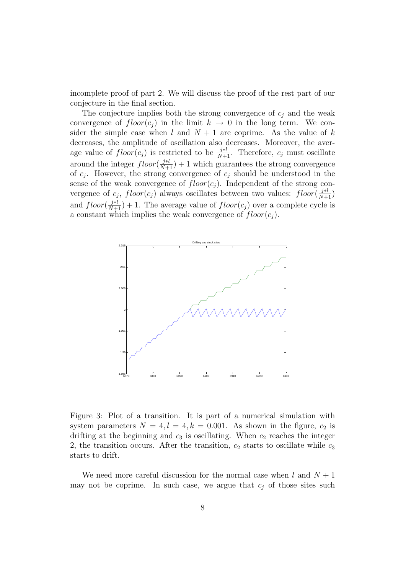incomplete proof of part 2. We will discuss the proof of the rest part of our conjecture in the final section.

The conjecture implies both the strong convergence of  $c_i$  and the weak convergence of  $floor(c_i)$  in the limit  $k \rightarrow 0$  in the long term. We consider the simple case when l and  $N + 1$  are coprime. As the value of k decreases, the amplitude of oscillation also decreases. Moreover, the average value of  $floor(c_j)$  is restricted to be  $\frac{j * l}{N+1}$ . Therefore,  $c_j$  must oscillate around the integer  $floor(\frac{j*l}{N+1}) + 1$  which guarantees the strong convergence of  $c_j$ . However, the strong convergence of  $c_j$  should be understood in the sense of the weak convergence of  $floor(c_i)$ . Independent of the strong convergence of  $c_j$ ,  $floor(c_j)$  always oscillates between two values:  $floor(\frac{j * l}{N+1})$ and  $floor(\frac{j+l}{N+1}) + 1$ . The average value of  $floor(c_j)$  over a complete cycle is a constant which implies the weak convergence of  $floor(c_i)$ .



Figure 3: Plot of a transition. It is part of a numerical simulation with system parameters  $N = 4, l = 4, k = 0.001$ . As shown in the figure,  $c_2$  is drifting at the beginning and  $c_3$  is oscillating. When  $c_2$  reaches the integer 2, the transition occurs. After the transition,  $c_2$  starts to oscillate while  $c_3$ starts to drift.

We need more careful discussion for the normal case when l and  $N+1$ may not be coprime. In such case, we argue that  $c_j$  of those sites such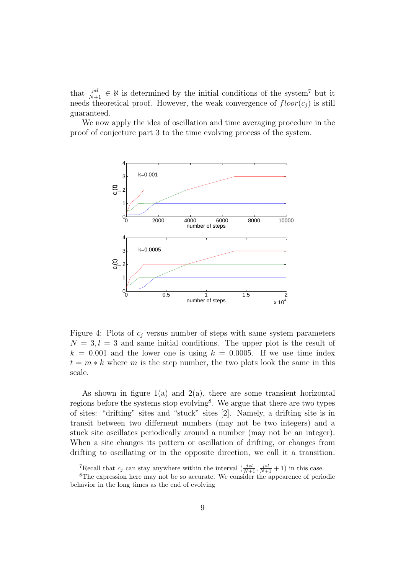that  $\frac{j*l}{N+1} \in \mathbb{N}$  is determined by the initial conditions of the system<sup>7</sup> but it needs theoretical proof. However, the weak convergence of  $floor(c_j)$  is still guaranteed.

We now apply the idea of oscillation and time averaging procedure in the proof of conjecture part 3 to the time evolving process of the system.



Figure 4: Plots of  $c_i$  versus number of steps with same system parameters  $N = 3, l = 3$  and same initial conditions. The upper plot is the result of  $k = 0.001$  and the lower one is using  $k = 0.0005$ . If we use time index  $t = m * k$  where m is the step number, the two plots look the same in this scale.

As shown in figure  $1(a)$  and  $2(a)$ , there are some transient horizontal regions before the systems stop evolving<sup>8</sup>. We argue that there are two types of sites: "drifting" sites and "stuck" sites [2]. Namely, a drifting site is in transit between two differnent numbers (may not be two integers) and a stuck site oscillates periodically around a number (may not be an integer). When a site changes its pattern or oscillation of drifting, or changes from drifting to oscillating or in the opposite direction, we call it a transition.

<sup>&</sup>lt;sup>7</sup>Recall that  $c_j$  can stay anywhere within the interval  $(\frac{j+l}{N+1}, \frac{j+l}{N+1} + 1)$  in this case.

<sup>&</sup>lt;sup>8</sup>The expression here may not be so accurate. We consider the appearence of periodic behavior in the long times as the end of evolving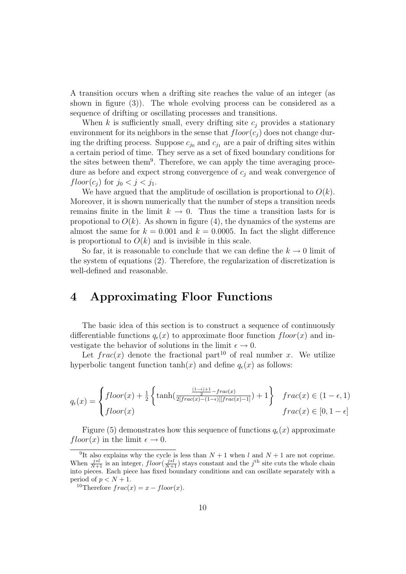A transition occurs when a drifting site reaches the value of an integer (as shown in figure (3)). The whole evolving process can be considered as a sequence of drifting or oscillating processes and transitions.

When k is sufficiently small, every drifting site  $c_i$  provides a stationary environment for its neighbors in the sense that  $floor(c_i)$  does not change during the drifting process. Suppose  $c_{j_0}$  and  $c_{j_1}$  are a pair of drifting sites within a certain period of time. They serve as a set of fixed boundary conditions for the sites between them<sup>9</sup>. Therefore, we can apply the time averaging procedure as before and expect strong convergence of  $c_j$  and weak convergence of  $floor(c_i)$  for  $j_0 < j < j_1$ .

We have argued that the amplitude of oscillation is proportional to  $O(k)$ . Moreover, it is shown numerically that the number of steps a transition needs remains finite in the limit  $k \to 0$ . Thus the time a transition lasts for is propotional to  $O(k)$ . As shown in figure (4), the dynamics of the systems are almost the same for  $k = 0.001$  and  $k = 0.0005$ . In fact the slight difference is proportional to  $O(k)$  and is invisible in this scale.

So far, it is reasonable to conclude that we can define the  $k \to 0$  limit of the system of equations (2). Therefore, the regularization of discretization is well-defined and reasonable.

## 4 Approximating Floor Functions

The basic idea of this section is to construct a sequence of continuously differentiable functions  $q_{\epsilon}(x)$  to approximate floor function  $floor(x)$  and investigate the behavior of solutions in the limit  $\epsilon \to 0$ .

Let  $frac(x)$  denote the fractional part<sup>10</sup> of real number x. We utilize hyperbolic tangent function  $\tanh(x)$  and define  $q_{\epsilon}(x)$  as follows:

$$
q_{\epsilon}(x) = \begin{cases} floor(x) + \frac{1}{2} \left\{ \tanh\left(\frac{\frac{(1-\epsilon)+1}{2} - frac(x)}{2\left[frac(x-\epsilon)\right]\left[frac(x-\epsilon)\right]}\right) + 1 \right\} & frac(x) \in (1-\epsilon, 1) \\ floor(x) & frac(x) \in [0, 1-\epsilon] \end{cases}
$$

Figure (5) demonstrates how this sequence of functions  $q_e(x)$  approximate  $floor(x)$  in the limit  $\epsilon \rightarrow 0$ .

<sup>10</sup>Therefore  $frac(x) = x - floor(x)$ .

<sup>&</sup>lt;sup>9</sup>It also explains why the cycle is less than  $N + 1$  when l and  $N + 1$  are not coprime. When  $\frac{j * l}{N+1}$  is an integer,  $floor(\frac{j * l}{N+1})$  stays constant and the j<sup>th</sup> site cuts the whole chain into pieces. Each piece has fixed boundary conditions and can oscillate separately with a period of  $p < N + 1$ .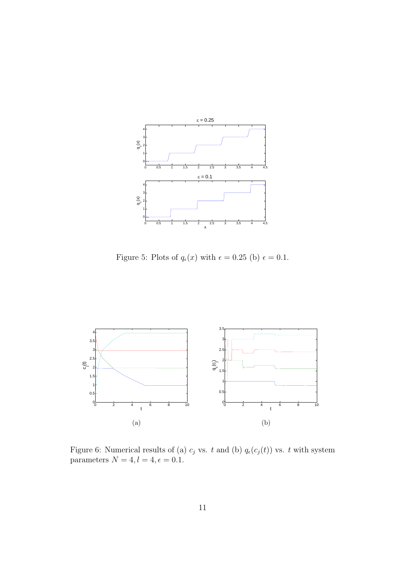

Figure 5: Plots of  $q_{\epsilon}(x)$  with  $\epsilon = 0.25$  (b)  $\epsilon = 0.1$ .



Figure 6: Numerical results of (a)  $c_j$  vs. t and (b)  $q_{\epsilon}(c_j(t))$  vs. t with system parameters  $N = 4, l = 4, \epsilon = 0.1$ .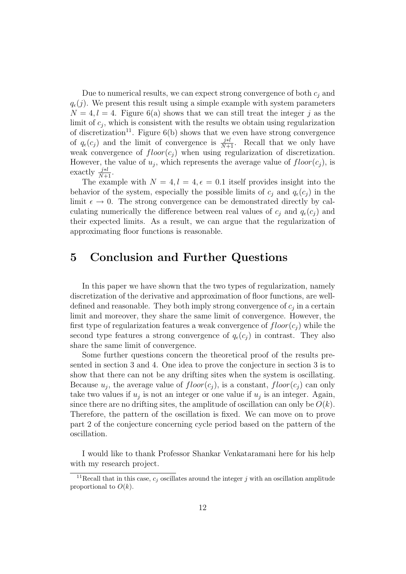Due to numerical results, we can expect strong convergence of both  $c_i$  and  $q_{\epsilon}(j)$ . We present this result using a simple example with system parameters  $N = 4, l = 4$ . Figure 6(a) shows that we can still treat the integer j as the limit of  $c_j$ , which is consistent with the results we obtain using regularization of discretization<sup>11</sup>. Figure 6(b) shows that we even have strong convergence of  $q_{\epsilon}(c_j)$  and the limit of convergence is  $\frac{j+l}{N+1}$ . Recall that we only have weak convergence of  $floor(c_j)$  when using regularization of discretization. However, the value of  $u_j$ , which represents the average value of  $floor(c_j)$ , is exactly  $\frac{j+l}{N+1}$ .

The example with  $N = 4, l = 4, \epsilon = 0.1$  itself provides insight into the behavior of the system, especially the possible limits of  $c_i$  and  $q_e(c_i)$  in the limit  $\epsilon \to 0$ . The strong convergence can be demonstrated directly by calculating numerically the difference between real values of  $c_i$  and  $q_{\epsilon}(c_i)$  and their expected limits. As a result, we can argue that the regularization of approximating floor functions is reasonable.

## 5 Conclusion and Further Questions

In this paper we have shown that the two types of regularization, namely discretization of the derivative and approximation of floor functions, are welldefined and reasonable. They both imply strong convergence of  $c_j$  in a certain limit and moreover, they share the same limit of convergence. However, the first type of regularization features a weak convergence of  $floor(c_i)$  while the second type features a strong convergence of  $q_{\epsilon}(c_i)$  in contrast. They also share the same limit of convergence.

Some further questions concern the theoretical proof of the results presented in section 3 and 4. One idea to prove the conjecture in section 3 is to show that there can not be any drifting sites when the system is oscillating. Because  $u_j$ , the average value of  $floor(c_j)$ , is a constant,  $floor(c_j)$  can only take two values if  $u_j$  is not an integer or one value if  $u_j$  is an integer. Again, since there are no drifting sites, the amplitude of oscillation can only be  $O(k)$ . Therefore, the pattern of the oscillation is fixed. We can move on to prove part 2 of the conjecture concerning cycle period based on the pattern of the oscillation.

I would like to thank Professor Shankar Venkataramani here for his help with my research project.

<sup>&</sup>lt;sup>11</sup>Recall that in this case,  $c_j$  oscillates around the integer j with an oscillation amplitude proportional to  $O(k)$ .